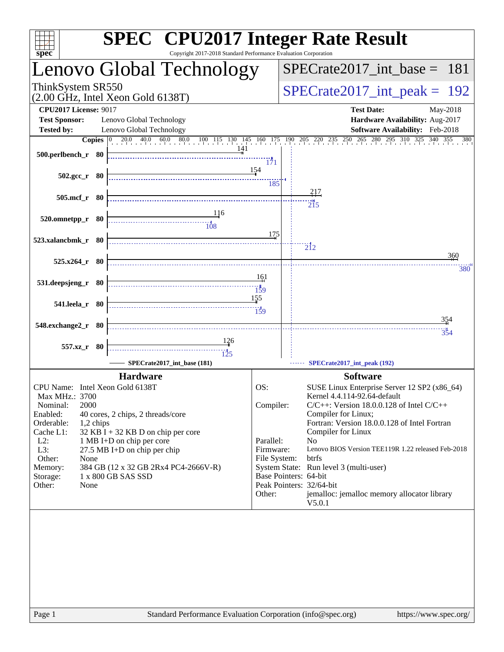| <b>SPEC<sup>®</sup></b> CPU2017 Integer Rate Result<br>Copyright 2017-2018 Standard Performance Evaluation Corporation<br>$spec^*$                                                                                                                                                                                                                                                                                                                          |              |                       |                                                                    |  |  |
|-------------------------------------------------------------------------------------------------------------------------------------------------------------------------------------------------------------------------------------------------------------------------------------------------------------------------------------------------------------------------------------------------------------------------------------------------------------|--------------|-----------------------|--------------------------------------------------------------------|--|--|
| Lenovo Global Technology                                                                                                                                                                                                                                                                                                                                                                                                                                    |              |                       | $SPECTate2017\_int\_base = 181$                                    |  |  |
| ThinkSystem SR550<br>$(2.00 \text{ GHz}, \text{Intel Xeon Gold } 6138 \text{T})$                                                                                                                                                                                                                                                                                                                                                                            |              |                       | $SPECrate2017\_int\_peak = 192$                                    |  |  |
| <b>CPU2017 License: 9017</b><br><b>Test Sponsor:</b><br>Lenovo Global Technology                                                                                                                                                                                                                                                                                                                                                                            |              |                       | <b>Test Date:</b><br>May-2018<br>Hardware Availability: Aug-2017   |  |  |
| <b>Tested by:</b><br>Lenovo Global Technology                                                                                                                                                                                                                                                                                                                                                                                                               |              |                       | Software Availability: Feb-2018                                    |  |  |
| <b>Copies</b> 0 20.0 40.0 60.0 80.0 100 115 130 145 160 175 190 205 220 235 250 265 280 295 310 325 340 355 380                                                                                                                                                                                                                                                                                                                                             |              |                       |                                                                    |  |  |
| 500.perlbench_r 80                                                                                                                                                                                                                                                                                                                                                                                                                                          | 171          |                       |                                                                    |  |  |
| 154<br>$502.\text{gcc}_r$ 80                                                                                                                                                                                                                                                                                                                                                                                                                                | 185          |                       |                                                                    |  |  |
| 505.mcf_r 80                                                                                                                                                                                                                                                                                                                                                                                                                                                |              |                       | 217                                                                |  |  |
|                                                                                                                                                                                                                                                                                                                                                                                                                                                             |              |                       | $\overline{215}$                                                   |  |  |
| 116<br>520.omnetpp_r 80<br>$\begin{array}{c}\n \overbrace{\hspace{1.5cm}108}^{11} \\  \overbrace{\hspace{1.5cm}108}^{11} \\  \overbrace{\hspace{1.5cm}108}^{11} \\  \overbrace{\hspace{1.5cm}108}^{11} \\  \overbrace{\hspace{1.5cm}108}^{11} \\  \overbrace{\hspace{1.5cm}108}^{11} \\  \overbrace{\hspace{1.5cm}108}^{11} \\  \overbrace{\hspace{1.5cm}108}^{11} \\  \overbrace{\hspace{1.5cm}108}^{11} \\  \overbrace{\hspace{1.5cm}108}^{11} \\  \over$ |              |                       |                                                                    |  |  |
|                                                                                                                                                                                                                                                                                                                                                                                                                                                             | 175          |                       |                                                                    |  |  |
| 523.xalancbmk_r 80                                                                                                                                                                                                                                                                                                                                                                                                                                          |              |                       | $\overline{2}$ <sup>12</sup>                                       |  |  |
|                                                                                                                                                                                                                                                                                                                                                                                                                                                             |              |                       | 360                                                                |  |  |
| $525.x264$ r 80                                                                                                                                                                                                                                                                                                                                                                                                                                             |              |                       | 380                                                                |  |  |
| 531.deepsjeng_r 80                                                                                                                                                                                                                                                                                                                                                                                                                                          | 161          |                       |                                                                    |  |  |
|                                                                                                                                                                                                                                                                                                                                                                                                                                                             |              |                       |                                                                    |  |  |
| 541.leela_r 80                                                                                                                                                                                                                                                                                                                                                                                                                                              | 155          |                       |                                                                    |  |  |
|                                                                                                                                                                                                                                                                                                                                                                                                                                                             |              |                       |                                                                    |  |  |
| 548.exchange2_r 80                                                                                                                                                                                                                                                                                                                                                                                                                                          |              |                       | 354                                                                |  |  |
| $\frac{126}{1}$                                                                                                                                                                                                                                                                                                                                                                                                                                             |              |                       | 354                                                                |  |  |
| 557.xz_r 80                                                                                                                                                                                                                                                                                                                                                                                                                                                 |              |                       |                                                                    |  |  |
| SPECrate2017_int_base (181)                                                                                                                                                                                                                                                                                                                                                                                                                                 |              |                       | SPECrate2017_int_peak (192)                                        |  |  |
| <b>Hardware</b>                                                                                                                                                                                                                                                                                                                                                                                                                                             |              |                       | <b>Software</b>                                                    |  |  |
| CPU Name: Intel Xeon Gold 6138T                                                                                                                                                                                                                                                                                                                                                                                                                             | OS:          |                       | SUSE Linux Enterprise Server 12 SP2 (x86_64)                       |  |  |
| Max MHz.: 3700                                                                                                                                                                                                                                                                                                                                                                                                                                              |              |                       | Kernel 4.4.114-92.64-default                                       |  |  |
| 2000<br>Nominal:                                                                                                                                                                                                                                                                                                                                                                                                                                            | Compiler:    |                       | $C/C++$ : Version 18.0.0.128 of Intel $C/C++$                      |  |  |
| Enabled:<br>40 cores, 2 chips, 2 threads/core                                                                                                                                                                                                                                                                                                                                                                                                               |              |                       | Compiler for Linux;                                                |  |  |
| Orderable:<br>1,2 chips<br>Cache L1:<br>$32$ KB I + 32 KB D on chip per core                                                                                                                                                                                                                                                                                                                                                                                |              |                       | Fortran: Version 18.0.0.128 of Intel Fortran<br>Compiler for Linux |  |  |
| $L2$ :<br>1 MB I+D on chip per core                                                                                                                                                                                                                                                                                                                                                                                                                         | Parallel:    |                       | N <sub>o</sub>                                                     |  |  |
| $L3$ :<br>27.5 MB I+D on chip per chip                                                                                                                                                                                                                                                                                                                                                                                                                      | Firmware:    |                       | Lenovo BIOS Version TEE119R 1.22 released Feb-2018                 |  |  |
| Other:<br>None                                                                                                                                                                                                                                                                                                                                                                                                                                              | File System: |                       | btrfs                                                              |  |  |
| Memory:<br>384 GB (12 x 32 GB 2Rx4 PC4-2666V-R)<br>1 x 800 GB SAS SSD<br>Storage:                                                                                                                                                                                                                                                                                                                                                                           |              | Base Pointers: 64-bit | System State: Run level 3 (multi-user)                             |  |  |
| Other:<br>None                                                                                                                                                                                                                                                                                                                                                                                                                                              |              |                       | Peak Pointers: 32/64-bit                                           |  |  |
|                                                                                                                                                                                                                                                                                                                                                                                                                                                             | Other:       |                       | jemalloc: jemalloc memory allocator library                        |  |  |
|                                                                                                                                                                                                                                                                                                                                                                                                                                                             |              |                       | V5.0.1                                                             |  |  |
|                                                                                                                                                                                                                                                                                                                                                                                                                                                             |              |                       |                                                                    |  |  |
|                                                                                                                                                                                                                                                                                                                                                                                                                                                             |              |                       |                                                                    |  |  |
|                                                                                                                                                                                                                                                                                                                                                                                                                                                             |              |                       |                                                                    |  |  |
|                                                                                                                                                                                                                                                                                                                                                                                                                                                             |              |                       |                                                                    |  |  |
|                                                                                                                                                                                                                                                                                                                                                                                                                                                             |              |                       |                                                                    |  |  |
|                                                                                                                                                                                                                                                                                                                                                                                                                                                             |              |                       |                                                                    |  |  |
|                                                                                                                                                                                                                                                                                                                                                                                                                                                             |              |                       |                                                                    |  |  |
|                                                                                                                                                                                                                                                                                                                                                                                                                                                             |              |                       |                                                                    |  |  |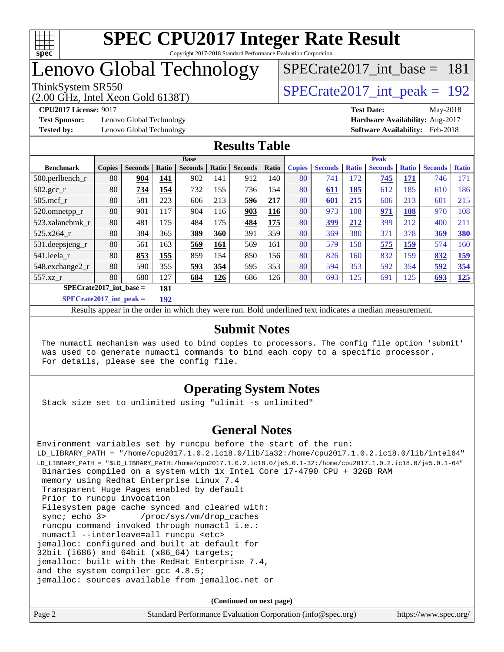

## Lenovo Global Technology

(2.00 GHz, Intel Xeon Gold 6138T)

ThinkSystem SR550<br>  $\angle Q$  00 GHz, Intel Year Gold 6138T) [SPECrate2017\\_int\\_base =](http://www.spec.org/auto/cpu2017/Docs/result-fields.html#SPECrate2017intbase) 181

**[Test Sponsor:](http://www.spec.org/auto/cpu2017/Docs/result-fields.html#TestSponsor)** Lenovo Global Technology **[Hardware Availability:](http://www.spec.org/auto/cpu2017/Docs/result-fields.html#HardwareAvailability)** Aug-2017

**[CPU2017 License:](http://www.spec.org/auto/cpu2017/Docs/result-fields.html#CPU2017License)** 9017 **[Test Date:](http://www.spec.org/auto/cpu2017/Docs/result-fields.html#TestDate)** May-2018 **[Tested by:](http://www.spec.org/auto/cpu2017/Docs/result-fields.html#Testedby)** Lenovo Global Technology **[Software Availability:](http://www.spec.org/auto/cpu2017/Docs/result-fields.html#SoftwareAvailability)** Feb-2018

#### **[Results Table](http://www.spec.org/auto/cpu2017/Docs/result-fields.html#ResultsTable)**

|                                          |               |                |       | <b>Base</b>    |       |                |            |               |                |              | <b>Peak</b>    |              |                |              |
|------------------------------------------|---------------|----------------|-------|----------------|-------|----------------|------------|---------------|----------------|--------------|----------------|--------------|----------------|--------------|
| <b>Benchmark</b>                         | <b>Copies</b> | <b>Seconds</b> | Ratio | <b>Seconds</b> | Ratio | <b>Seconds</b> | Ratio      | <b>Copies</b> | <b>Seconds</b> | <b>Ratio</b> | <b>Seconds</b> | <b>Ratio</b> | <b>Seconds</b> | <b>Ratio</b> |
| 500.perlbench_r                          | 80            | 904            | 141   | 902            | 141   | 912            | 140        | 80            | 741            | 172          | 745            | 171          | 746            | 171          |
| $502.\text{gcc}_{r}$                     | 80            | 734            | 154   | 732            | 155   | 736            | 154        | 80            | 611            | 185          | 612            | 185          | 610            | 186          |
| $505$ .mcf r                             | 80            | 581            | 223   | 606            | 213   | 596            | 217        | 80            | 601            | 215          | 606            | 213          | 601            | 215          |
| 520.omnetpp_r                            | 80            | 901            | 117   | 904            | 116   | 903            | <b>116</b> | 80            | 973            | 108          | 971            | <b>108</b>   | 970            | 108          |
| 523.xalancbmk r                          | 80            | 481            | 175   | 484            | 175   | 484            | 175        | 80            | 399            | 212          | 399            | 212          | 400            | 211          |
| 525.x264 r                               | 80            | 384            | 365   | 389            | 360   | 391            | 359        | 80            | 369            | 380          | 371            | 378          | 369            | 380          |
| $531.$ deepsjeng $_r$                    | 80            | 561            | 163   | 569            | 161   | 569            | 161        | 80            | 579            | 158          | 575            | <u>159</u>   | 574            | 160          |
| 541.leela r                              | 80            | 853            | 155   | 859            | 154   | 850            | 156        | 80            | 826            | 160          | 832            | 159          | 832            | <u>159</u>   |
| 548.exchange2_r                          | 80            | 590            | 355   | 593            | 354   | 595            | 353        | 80            | 594            | 353          | 592            | 354          | 592            | 354          |
| 557.xz r                                 | 80            | 680            | 127   | 684            | 126   | 686            | 126        | 80            | 693            | 125          | 691            | 125          | 693            | <u>125</u>   |
| $SPECrate2017$ int base =<br>181         |               |                |       |                |       |                |            |               |                |              |                |              |                |              |
| $CDFC_{\text{tot}} + 2017$ intervals $=$ |               |                | 102   |                |       |                |            |               |                |              |                |              |                |              |

**[SPECrate2017\\_int\\_peak =](http://www.spec.org/auto/cpu2017/Docs/result-fields.html#SPECrate2017intpeak) 192**

Results appear in the [order in which they were run](http://www.spec.org/auto/cpu2017/Docs/result-fields.html#RunOrder). Bold underlined text [indicates a median measurement](http://www.spec.org/auto/cpu2017/Docs/result-fields.html#Median).

#### **[Submit Notes](http://www.spec.org/auto/cpu2017/Docs/result-fields.html#SubmitNotes)**

 The numactl mechanism was used to bind copies to processors. The config file option 'submit' was used to generate numactl commands to bind each copy to a specific processor. For details, please see the config file.

### **[Operating System Notes](http://www.spec.org/auto/cpu2017/Docs/result-fields.html#OperatingSystemNotes)**

Stack size set to unlimited using "ulimit -s unlimited"

### **[General Notes](http://www.spec.org/auto/cpu2017/Docs/result-fields.html#GeneralNotes)**

Environment variables set by runcpu before the start of the run: LD\_LIBRARY\_PATH = "/home/cpu2017.1.0.2.ic18.0/lib/ia32:/home/cpu2017.1.0.2.ic18.0/lib/intel64" LD\_LIBRARY\_PATH = "\$LD\_LIBRARY\_PATH:/home/cpu2017.1.0.2.ic18.0/je5.0.1-32:/home/cpu2017.1.0.2.ic18.0/je5.0.1-64" Binaries compiled on a system with 1x Intel Core i7-4790 CPU + 32GB RAM memory using Redhat Enterprise Linux 7.4 Transparent Huge Pages enabled by default Prior to runcpu invocation Filesystem page cache synced and cleared with: sync; echo 3> /proc/sys/vm/drop\_caches runcpu command invoked through numactl i.e.: numactl --interleave=all runcpu <etc> jemalloc: configured and built at default for 32bit (i686) and 64bit (x86\_64) targets; jemalloc: built with the RedHat Enterprise 7.4, and the system compiler gcc 4.8.5; jemalloc: sources available from jemalloc.net or

**(Continued on next page)**

| Page 2 | Standard Performance Evaluation Corporation (info@spec.org) | https://www.spec.org/ |
|--------|-------------------------------------------------------------|-----------------------|
|        |                                                             |                       |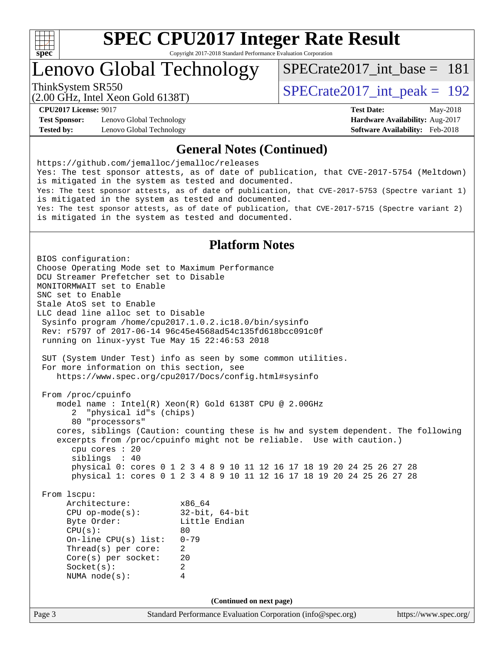

# **[SPEC CPU2017 Integer Rate Result](http://www.spec.org/auto/cpu2017/Docs/result-fields.html#SPECCPU2017IntegerRateResult)**

Copyright 2017-2018 Standard Performance Evaluation Corporation

Lenovo Global Technology

[SPECrate2017\\_int\\_base =](http://www.spec.org/auto/cpu2017/Docs/result-fields.html#SPECrate2017intbase) 181

(2.00 GHz, Intel Xeon Gold 6138T) ThinkSystem SR550<br>  $\angle Q$  00 GHz, Intel Year Gold 6138T)

**[Test Sponsor:](http://www.spec.org/auto/cpu2017/Docs/result-fields.html#TestSponsor)** Lenovo Global Technology **[Hardware Availability:](http://www.spec.org/auto/cpu2017/Docs/result-fields.html#HardwareAvailability)** Aug-2017 **[Tested by:](http://www.spec.org/auto/cpu2017/Docs/result-fields.html#Testedby)** Lenovo Global Technology **[Software Availability:](http://www.spec.org/auto/cpu2017/Docs/result-fields.html#SoftwareAvailability)** Feb-2018

**[CPU2017 License:](http://www.spec.org/auto/cpu2017/Docs/result-fields.html#CPU2017License)** 9017 **[Test Date:](http://www.spec.org/auto/cpu2017/Docs/result-fields.html#TestDate)** May-2018

#### **[General Notes \(Continued\)](http://www.spec.org/auto/cpu2017/Docs/result-fields.html#GeneralNotes)**

<https://github.com/jemalloc/jemalloc/releases> Yes: The test sponsor attests, as of date of publication, that CVE-2017-5754 (Meltdown) is mitigated in the system as tested and documented. Yes: The test sponsor attests, as of date of publication, that CVE-2017-5753 (Spectre variant 1) is mitigated in the system as tested and documented. Yes: The test sponsor attests, as of date of publication, that CVE-2017-5715 (Spectre variant 2) is mitigated in the system as tested and documented.

#### **[Platform Notes](http://www.spec.org/auto/cpu2017/Docs/result-fields.html#PlatformNotes)**

Page 3 Standard Performance Evaluation Corporation [\(info@spec.org\)](mailto:info@spec.org) <https://www.spec.org/> BIOS configuration: Choose Operating Mode set to Maximum Performance DCU Streamer Prefetcher set to Disable MONITORMWAIT set to Enable SNC set to Enable Stale AtoS set to Enable LLC dead line alloc set to Disable Sysinfo program /home/cpu2017.1.0.2.ic18.0/bin/sysinfo Rev: r5797 of 2017-06-14 96c45e4568ad54c135fd618bcc091c0f running on linux-yyst Tue May 15 22:46:53 2018 SUT (System Under Test) info as seen by some common utilities. For more information on this section, see <https://www.spec.org/cpu2017/Docs/config.html#sysinfo> From /proc/cpuinfo model name : Intel(R) Xeon(R) Gold 6138T CPU @ 2.00GHz 2 "physical id"s (chips) 80 "processors" cores, siblings (Caution: counting these is hw and system dependent. The following excerpts from /proc/cpuinfo might not be reliable. Use with caution.) cpu cores : 20 siblings : 40 physical 0: cores 0 1 2 3 4 8 9 10 11 12 16 17 18 19 20 24 25 26 27 28 physical 1: cores 0 1 2 3 4 8 9 10 11 12 16 17 18 19 20 24 25 26 27 28 From lscpu: Architecture: x86\_64 CPU op-mode(s): 32-bit, 64-bit Little Endian  $CPU(s):$  80 On-line CPU(s) list: 0-79 Thread(s) per core: 2 Core(s) per socket: 20 Socket(s): 2 NUMA node(s): 4 **(Continued on next page)**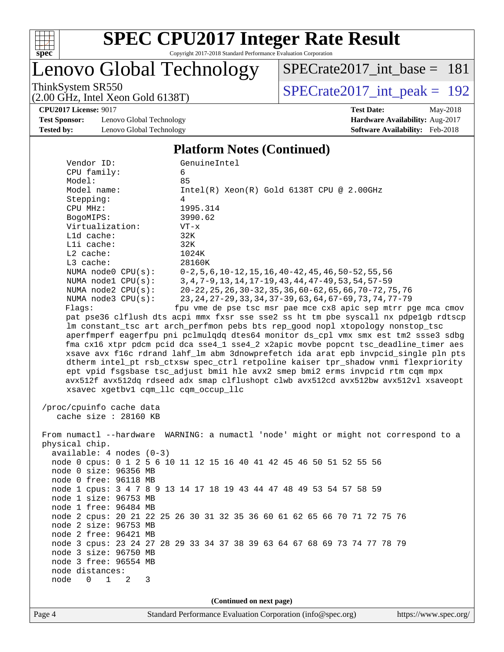

Lenovo Global Technology

[SPECrate2017\\_int\\_base =](http://www.spec.org/auto/cpu2017/Docs/result-fields.html#SPECrate2017intbase) 181

(2.00 GHz, Intel Xeon Gold 6138T)

ThinkSystem SR550<br>  $(2.00 \text{ GHz})$  Intel Xeon Gold 6138T)

**[CPU2017 License:](http://www.spec.org/auto/cpu2017/Docs/result-fields.html#CPU2017License)** 9017 **[Test Date:](http://www.spec.org/auto/cpu2017/Docs/result-fields.html#TestDate)** May-2018

**[Test Sponsor:](http://www.spec.org/auto/cpu2017/Docs/result-fields.html#TestSponsor)** Lenovo Global Technology **[Hardware Availability:](http://www.spec.org/auto/cpu2017/Docs/result-fields.html#HardwareAvailability)** Aug-2017 **[Tested by:](http://www.spec.org/auto/cpu2017/Docs/result-fields.html#Testedby)** Lenovo Global Technology **[Software Availability:](http://www.spec.org/auto/cpu2017/Docs/result-fields.html#SoftwareAvailability)** Feb-2018

#### **[Platform Notes \(Continued\)](http://www.spec.org/auto/cpu2017/Docs/result-fields.html#PlatformNotes)**

| Vendor ID:                                                                           | GenuineIntel                                                                         |  |  |  |  |
|--------------------------------------------------------------------------------------|--------------------------------------------------------------------------------------|--|--|--|--|
| CPU family:                                                                          | 6                                                                                    |  |  |  |  |
| Model:                                                                               | 85                                                                                   |  |  |  |  |
| Model name:                                                                          | $Intel(R) Xeon(R) Gold 6138T CPU @ 2.00GHz$                                          |  |  |  |  |
| Stepping:                                                                            | 4                                                                                    |  |  |  |  |
| CPU MHz:                                                                             | 1995.314                                                                             |  |  |  |  |
| BogoMIPS:                                                                            | 3990.62                                                                              |  |  |  |  |
| Virtualization:                                                                      | $VT - x$                                                                             |  |  |  |  |
| L1d cache:                                                                           | 32K                                                                                  |  |  |  |  |
| Lli cache:                                                                           | 32K                                                                                  |  |  |  |  |
| $L2$ cache:                                                                          | 1024K                                                                                |  |  |  |  |
| L3 cache:                                                                            | 28160K                                                                               |  |  |  |  |
| NUMA $node0$ $CPU(s):$                                                               | $0-2, 5, 6, 10-12, 15, 16, 40-42, 45, 46, 50-52, 55, 56$                             |  |  |  |  |
| NUMA nodel CPU(s):                                                                   | 3, 4, 7-9, 13, 14, 17-19, 43, 44, 47-49, 53, 54, 57-59                               |  |  |  |  |
| NUMA $node2$ $CPU(s):$                                                               | 20-22, 25, 26, 30-32, 35, 36, 60-62, 65, 66, 70-72, 75, 76                           |  |  |  |  |
| NUMA $node3$ $CPU(s):$                                                               | 23, 24, 27-29, 33, 34, 37-39, 63, 64, 67-69, 73, 74, 77-79                           |  |  |  |  |
| Flags:                                                                               | fpu vme de pse tsc msr pae mce cx8 apic sep mtrr pge mca cmov                        |  |  |  |  |
|                                                                                      | pat pse36 clflush dts acpi mmx fxsr sse sse2 ss ht tm pbe syscall nx pdpe1gb rdtscp  |  |  |  |  |
|                                                                                      | lm constant_tsc art arch_perfmon pebs bts rep_good nopl xtopology nonstop_tsc        |  |  |  |  |
|                                                                                      | aperfmperf eagerfpu pni pclmulqdq dtes64 monitor ds_cpl vmx smx est tm2 ssse3 sdbg   |  |  |  |  |
|                                                                                      | fma cx16 xtpr pdcm pcid dca sse4_1 sse4_2 x2apic movbe popcnt tsc_deadline_timer aes |  |  |  |  |
|                                                                                      | xsave avx f16c rdrand lahf_lm abm 3dnowprefetch ida arat epb invpcid_single pln pts  |  |  |  |  |
|                                                                                      | dtherm intel_pt rsb_ctxsw spec_ctrl retpoline kaiser tpr_shadow vnmi flexpriority    |  |  |  |  |
|                                                                                      | ept vpid fsgsbase tsc_adjust bmil hle avx2 smep bmi2 erms invpcid rtm cqm mpx        |  |  |  |  |
|                                                                                      | avx512f avx512dq rdseed adx smap clflushopt clwb avx512cd avx512bw avx512vl xsaveopt |  |  |  |  |
| xsavec xgetbv1 cqm_llc cqm_occup_llc                                                 |                                                                                      |  |  |  |  |
|                                                                                      |                                                                                      |  |  |  |  |
| /proc/cpuinfo cache data                                                             |                                                                                      |  |  |  |  |
| cache size : 28160 KB                                                                |                                                                                      |  |  |  |  |
|                                                                                      |                                                                                      |  |  |  |  |
| From numactl --hardware WARNING: a numactl 'node' might or might not correspond to a |                                                                                      |  |  |  |  |
| physical chip.                                                                       |                                                                                      |  |  |  |  |
| $available: 4 nodes (0-3)$                                                           |                                                                                      |  |  |  |  |
|                                                                                      | node 0 cpus: 0 1 2 5 6 10 11 12 15 16 40 41 42 45 46 50 51 52 55 56                  |  |  |  |  |
| node 0 size: 96356 MB                                                                |                                                                                      |  |  |  |  |
| node 0 free: 96118 MB                                                                |                                                                                      |  |  |  |  |
|                                                                                      | node 1 cpus: 3 4 7 8 9 13 14 17 18 19 43 44 47 48 49 53 54 57 58 59                  |  |  |  |  |
| node 1 size: 96753 MB                                                                |                                                                                      |  |  |  |  |
| node 1 free: 96484 MB                                                                |                                                                                      |  |  |  |  |
|                                                                                      | node 2 cpus: 20 21 22 25 26 30 31 32 35 36 60 61 62 65 66 70 71 72 75 76             |  |  |  |  |
| node 2 size: 96753 MB                                                                |                                                                                      |  |  |  |  |
| node 2 free: 96421 MB                                                                |                                                                                      |  |  |  |  |
|                                                                                      | node 3 cpus: 23 24 27 28 29 33 34 37 38 39 63 64 67 68 69 73 74 77 78 79             |  |  |  |  |
| node 3 size: 96750 MB                                                                |                                                                                      |  |  |  |  |
| node 3 free: 96554 MB                                                                |                                                                                      |  |  |  |  |
| node distances:                                                                      |                                                                                      |  |  |  |  |
| node<br>$\mathbf{1}$<br>$\Omega$<br>2<br>3                                           |                                                                                      |  |  |  |  |
|                                                                                      |                                                                                      |  |  |  |  |
|                                                                                      |                                                                                      |  |  |  |  |
| (Continued on next page)                                                             |                                                                                      |  |  |  |  |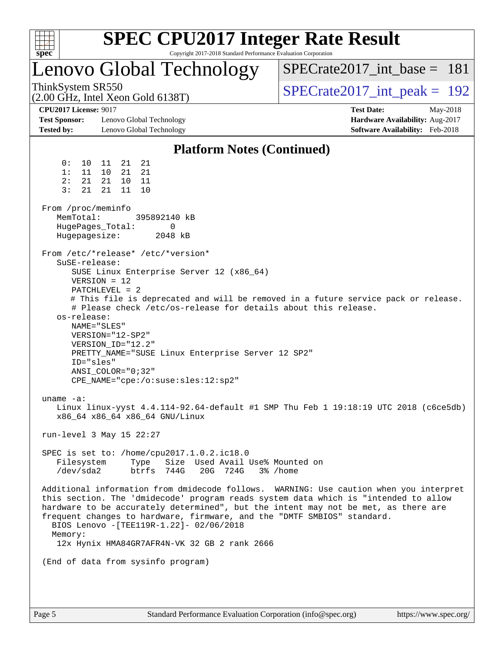| spec <sup>®</sup>                                                                                                                                                                                                                                                                                                                                                                                           | <b>SPEC CPU2017 Integer Rate Result</b><br>Copyright 2017-2018 Standard Performance Evaluation Corporation                                                                                                                                                          |
|-------------------------------------------------------------------------------------------------------------------------------------------------------------------------------------------------------------------------------------------------------------------------------------------------------------------------------------------------------------------------------------------------------------|---------------------------------------------------------------------------------------------------------------------------------------------------------------------------------------------------------------------------------------------------------------------|
| Lenovo Global Technology                                                                                                                                                                                                                                                                                                                                                                                    | $SPECrate2017\_int\_base = 181$                                                                                                                                                                                                                                     |
| ThinkSystem SR550<br>$(2.00 \text{ GHz}, \text{Intel Xeon Gold } 6138 \text{T})$                                                                                                                                                                                                                                                                                                                            | $SPECrate2017\_int\_peak = 192$                                                                                                                                                                                                                                     |
| <b>CPU2017 License: 9017</b><br><b>Test Sponsor:</b><br>Lenovo Global Technology<br><b>Tested by:</b><br>Lenovo Global Technology                                                                                                                                                                                                                                                                           | <b>Test Date:</b><br>May-2018<br>Hardware Availability: Aug-2017<br>Software Availability: Feb-2018                                                                                                                                                                 |
|                                                                                                                                                                                                                                                                                                                                                                                                             | <b>Platform Notes (Continued)</b>                                                                                                                                                                                                                                   |
| 0 :<br>21<br>21<br>10<br>11<br>1:<br>11<br>10<br>21<br>21<br>2:<br>21<br>21<br>10 11<br>21<br>11<br>3:<br>21<br>10                                                                                                                                                                                                                                                                                          |                                                                                                                                                                                                                                                                     |
| From /proc/meminfo<br>MemTotal:<br>395892140 kB<br>HugePages_Total:<br>0<br>Hugepagesize:<br>2048 kB                                                                                                                                                                                                                                                                                                        |                                                                                                                                                                                                                                                                     |
| From /etc/*release* /etc/*version*<br>SuSE-release:<br>SUSE Linux Enterprise Server 12 (x86_64)<br>$VERSION = 12$<br>$PATCHLEVEL = 2$<br># Please check /etc/os-release for details about this release.<br>os-release:<br>NAME="SLES"<br>VERSION="12-SP2"<br>VERSION_ID="12.2"<br>PRETTY_NAME="SUSE Linux Enterprise Server 12 SP2"<br>ID="sles"<br>ANSI COLOR="0;32"<br>CPE_NAME="cpe:/o:suse:sles:12:sp2" | # This file is deprecated and will be removed in a future service pack or release.                                                                                                                                                                                  |
| $\text{uname}$ $\text{-a}:$<br>x86_64 x86_64 x86_64 GNU/Linux<br>run-level 3 May 15 22:27                                                                                                                                                                                                                                                                                                                   | Linux linux-yyst 4.4.114-92.64-default #1 SMP Thu Feb 1 19:18:19 UTC 2018 (c6ce5db)                                                                                                                                                                                 |
| SPEC is set to: /home/cpu2017.1.0.2.ic18.0<br>Type Size Used Avail Use% Mounted on<br>Filesystem<br>/dev/sda2<br>20G 724G<br>btrfs 744G                                                                                                                                                                                                                                                                     | 3% /home                                                                                                                                                                                                                                                            |
| frequent changes to hardware, firmware, and the "DMTF SMBIOS" standard.<br>BIOS Lenovo - [TEE119R-1.22]- 02/06/2018<br>Memory:<br>12x Hynix HMA84GR7AFR4N-VK 32 GB 2 rank 2666                                                                                                                                                                                                                              | Additional information from dmidecode follows. WARNING: Use caution when you interpret<br>this section. The 'dmidecode' program reads system data which is "intended to allow<br>hardware to be accurately determined", but the intent may not be met, as there are |
| (End of data from sysinfo program)                                                                                                                                                                                                                                                                                                                                                                          |                                                                                                                                                                                                                                                                     |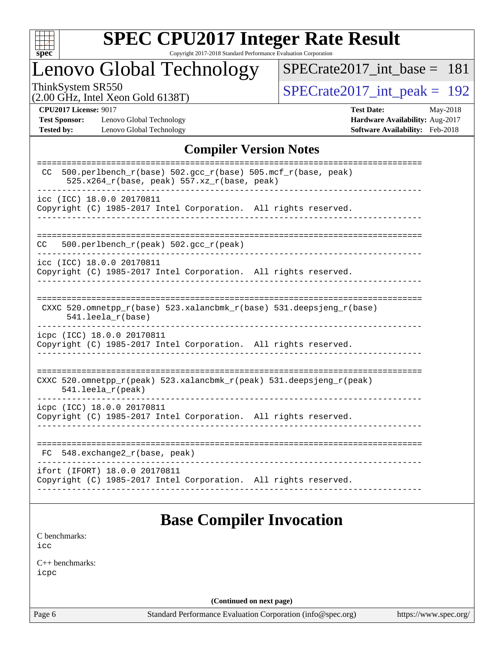

# **[SPEC CPU2017 Integer Rate Result](http://www.spec.org/auto/cpu2017/Docs/result-fields.html#SPECCPU2017IntegerRateResult)**

Copyright 2017-2018 Standard Performance Evaluation Corporation

## Lenovo Global Technology

[SPECrate2017\\_int\\_base =](http://www.spec.org/auto/cpu2017/Docs/result-fields.html#SPECrate2017intbase) 181

(2.00 GHz, Intel Xeon Gold 6138T)

ThinkSystem SR550<br>(2.00 GHz, Intel Xeon Gold 6138T)  $\begin{array}{r} | \text{SPECrate2017\_int\_peak} = 192 \end{array}$ 

**[Test Sponsor:](http://www.spec.org/auto/cpu2017/Docs/result-fields.html#TestSponsor)** Lenovo Global Technology **[Hardware Availability:](http://www.spec.org/auto/cpu2017/Docs/result-fields.html#HardwareAvailability)** Aug-2017 **[Tested by:](http://www.spec.org/auto/cpu2017/Docs/result-fields.html#Testedby)** Lenovo Global Technology **[Software Availability:](http://www.spec.org/auto/cpu2017/Docs/result-fields.html#SoftwareAvailability)** Feb-2018

**[CPU2017 License:](http://www.spec.org/auto/cpu2017/Docs/result-fields.html#CPU2017License)** 9017 **[Test Date:](http://www.spec.org/auto/cpu2017/Docs/result-fields.html#TestDate)** May-2018

### **[Compiler Version Notes](http://www.spec.org/auto/cpu2017/Docs/result-fields.html#CompilerVersionNotes)**

| 500.perlbench_r(base) 502.gcc_r(base) 505.mcf_r(base, peak)<br>CC.<br>525.x264_r(base, peak) 557.xz_r(base, peak) |
|-------------------------------------------------------------------------------------------------------------------|
| icc (ICC) 18.0.0 20170811<br>Copyright (C) 1985-2017 Intel Corporation. All rights reserved.                      |
| 500.perlbench_r(peak) 502.gcc_r(peak)<br>CC.                                                                      |
| icc (ICC) 18.0.0 20170811<br>Copyright (C) 1985-2017 Intel Corporation. All rights reserved.                      |
| CXXC 520.omnetpp_r(base) 523.xalancbmk_r(base) 531.deepsjeng_r(base)<br>$541.$ leela_r(base)                      |
| icpc (ICC) 18.0.0 20170811<br>Copyright (C) 1985-2017 Intel Corporation. All rights reserved.                     |
| CXXC 520.omnetpp_r(peak) 523.xalancbmk_r(peak) 531.deepsjeng_r(peak)<br>541.leela_r(peak)                         |
| icpc (ICC) 18.0.0 20170811<br>Copyright (C) 1985-2017 Intel Corporation. All rights reserved.                     |
| 548.exchange2_r(base, peak)<br>FC.                                                                                |
| ifort (IFORT) 18.0.0 20170811<br>Copyright (C) 1985-2017 Intel Corporation. All rights reserved.                  |

## **[Base Compiler Invocation](http://www.spec.org/auto/cpu2017/Docs/result-fields.html#BaseCompilerInvocation)**

[C benchmarks](http://www.spec.org/auto/cpu2017/Docs/result-fields.html#Cbenchmarks): [icc](http://www.spec.org/cpu2017/results/res2018q2/cpu2017-20180529-06163.flags.html#user_CCbase_intel_icc_18.0_66fc1ee009f7361af1fbd72ca7dcefbb700085f36577c54f309893dd4ec40d12360134090235512931783d35fd58c0460139e722d5067c5574d8eaf2b3e37e92)

[C++ benchmarks:](http://www.spec.org/auto/cpu2017/Docs/result-fields.html#CXXbenchmarks) [icpc](http://www.spec.org/cpu2017/results/res2018q2/cpu2017-20180529-06163.flags.html#user_CXXbase_intel_icpc_18.0_c510b6838c7f56d33e37e94d029a35b4a7bccf4766a728ee175e80a419847e808290a9b78be685c44ab727ea267ec2f070ec5dc83b407c0218cded6866a35d07)

**(Continued on next page)**

Page 6 Standard Performance Evaluation Corporation [\(info@spec.org\)](mailto:info@spec.org) <https://www.spec.org/>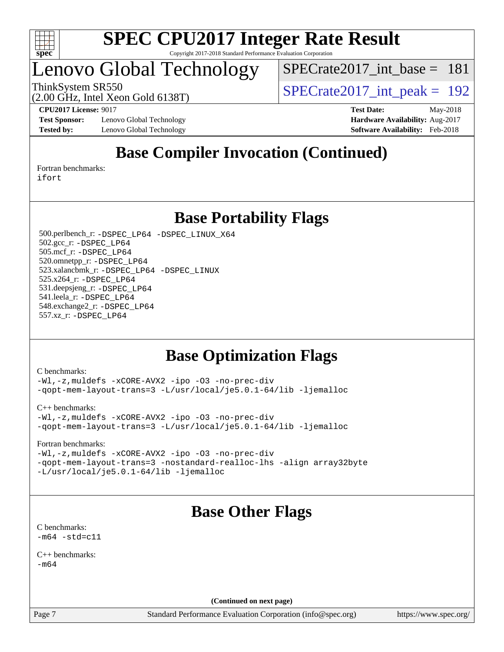

## Lenovo Global Technology

[SPECrate2017\\_int\\_base =](http://www.spec.org/auto/cpu2017/Docs/result-fields.html#SPECrate2017intbase) 181

(2.00 GHz, Intel Xeon Gold 6138T)

ThinkSystem SR550<br>  $\text{SPECrate2017\_int\_peak} = 192$ 

**[Test Sponsor:](http://www.spec.org/auto/cpu2017/Docs/result-fields.html#TestSponsor)** Lenovo Global Technology **[Hardware Availability:](http://www.spec.org/auto/cpu2017/Docs/result-fields.html#HardwareAvailability)** Aug-2017 **[Tested by:](http://www.spec.org/auto/cpu2017/Docs/result-fields.html#Testedby)** Lenovo Global Technology **[Software Availability:](http://www.spec.org/auto/cpu2017/Docs/result-fields.html#SoftwareAvailability)** Feb-2018

**[CPU2017 License:](http://www.spec.org/auto/cpu2017/Docs/result-fields.html#CPU2017License)** 9017 **[Test Date:](http://www.spec.org/auto/cpu2017/Docs/result-fields.html#TestDate)** May-2018

## **[Base Compiler Invocation \(Continued\)](http://www.spec.org/auto/cpu2017/Docs/result-fields.html#BaseCompilerInvocation)**

[Fortran benchmarks](http://www.spec.org/auto/cpu2017/Docs/result-fields.html#Fortranbenchmarks): [ifort](http://www.spec.org/cpu2017/results/res2018q2/cpu2017-20180529-06163.flags.html#user_FCbase_intel_ifort_18.0_8111460550e3ca792625aed983ce982f94888b8b503583aa7ba2b8303487b4d8a21a13e7191a45c5fd58ff318f48f9492884d4413fa793fd88dd292cad7027ca)

**[Base Portability Flags](http://www.spec.org/auto/cpu2017/Docs/result-fields.html#BasePortabilityFlags)**

 500.perlbench\_r: [-DSPEC\\_LP64](http://www.spec.org/cpu2017/results/res2018q2/cpu2017-20180529-06163.flags.html#b500.perlbench_r_basePORTABILITY_DSPEC_LP64) [-DSPEC\\_LINUX\\_X64](http://www.spec.org/cpu2017/results/res2018q2/cpu2017-20180529-06163.flags.html#b500.perlbench_r_baseCPORTABILITY_DSPEC_LINUX_X64) 502.gcc\_r: [-DSPEC\\_LP64](http://www.spec.org/cpu2017/results/res2018q2/cpu2017-20180529-06163.flags.html#suite_basePORTABILITY502_gcc_r_DSPEC_LP64) 505.mcf\_r: [-DSPEC\\_LP64](http://www.spec.org/cpu2017/results/res2018q2/cpu2017-20180529-06163.flags.html#suite_basePORTABILITY505_mcf_r_DSPEC_LP64) 520.omnetpp\_r: [-DSPEC\\_LP64](http://www.spec.org/cpu2017/results/res2018q2/cpu2017-20180529-06163.flags.html#suite_basePORTABILITY520_omnetpp_r_DSPEC_LP64) 523.xalancbmk\_r: [-DSPEC\\_LP64](http://www.spec.org/cpu2017/results/res2018q2/cpu2017-20180529-06163.flags.html#suite_basePORTABILITY523_xalancbmk_r_DSPEC_LP64) [-DSPEC\\_LINUX](http://www.spec.org/cpu2017/results/res2018q2/cpu2017-20180529-06163.flags.html#b523.xalancbmk_r_baseCXXPORTABILITY_DSPEC_LINUX) 525.x264\_r: [-DSPEC\\_LP64](http://www.spec.org/cpu2017/results/res2018q2/cpu2017-20180529-06163.flags.html#suite_basePORTABILITY525_x264_r_DSPEC_LP64) 531.deepsjeng\_r: [-DSPEC\\_LP64](http://www.spec.org/cpu2017/results/res2018q2/cpu2017-20180529-06163.flags.html#suite_basePORTABILITY531_deepsjeng_r_DSPEC_LP64) 541.leela\_r: [-DSPEC\\_LP64](http://www.spec.org/cpu2017/results/res2018q2/cpu2017-20180529-06163.flags.html#suite_basePORTABILITY541_leela_r_DSPEC_LP64) 548.exchange2\_r: [-DSPEC\\_LP64](http://www.spec.org/cpu2017/results/res2018q2/cpu2017-20180529-06163.flags.html#suite_basePORTABILITY548_exchange2_r_DSPEC_LP64) 557.xz\_r: [-DSPEC\\_LP64](http://www.spec.org/cpu2017/results/res2018q2/cpu2017-20180529-06163.flags.html#suite_basePORTABILITY557_xz_r_DSPEC_LP64)

## **[Base Optimization Flags](http://www.spec.org/auto/cpu2017/Docs/result-fields.html#BaseOptimizationFlags)**

[C benchmarks](http://www.spec.org/auto/cpu2017/Docs/result-fields.html#Cbenchmarks):

[-Wl,-z,muldefs](http://www.spec.org/cpu2017/results/res2018q2/cpu2017-20180529-06163.flags.html#user_CCbase_link_force_multiple1_b4cbdb97b34bdee9ceefcfe54f4c8ea74255f0b02a4b23e853cdb0e18eb4525ac79b5a88067c842dd0ee6996c24547a27a4b99331201badda8798ef8a743f577) [-xCORE-AVX2](http://www.spec.org/cpu2017/results/res2018q2/cpu2017-20180529-06163.flags.html#user_CCbase_f-xCORE-AVX2) [-ipo](http://www.spec.org/cpu2017/results/res2018q2/cpu2017-20180529-06163.flags.html#user_CCbase_f-ipo) [-O3](http://www.spec.org/cpu2017/results/res2018q2/cpu2017-20180529-06163.flags.html#user_CCbase_f-O3) [-no-prec-div](http://www.spec.org/cpu2017/results/res2018q2/cpu2017-20180529-06163.flags.html#user_CCbase_f-no-prec-div) [-qopt-mem-layout-trans=3](http://www.spec.org/cpu2017/results/res2018q2/cpu2017-20180529-06163.flags.html#user_CCbase_f-qopt-mem-layout-trans_de80db37974c74b1f0e20d883f0b675c88c3b01e9d123adea9b28688d64333345fb62bc4a798493513fdb68f60282f9a726aa07f478b2f7113531aecce732043) [-L/usr/local/je5.0.1-64/lib](http://www.spec.org/cpu2017/results/res2018q2/cpu2017-20180529-06163.flags.html#user_CCbase_jemalloc_link_path64_4b10a636b7bce113509b17f3bd0d6226c5fb2346b9178c2d0232c14f04ab830f976640479e5c33dc2bcbbdad86ecfb6634cbbd4418746f06f368b512fced5394) [-ljemalloc](http://www.spec.org/cpu2017/results/res2018q2/cpu2017-20180529-06163.flags.html#user_CCbase_jemalloc_link_lib_d1249b907c500fa1c0672f44f562e3d0f79738ae9e3c4a9c376d49f265a04b9c99b167ecedbf6711b3085be911c67ff61f150a17b3472be731631ba4d0471706)

[C++ benchmarks:](http://www.spec.org/auto/cpu2017/Docs/result-fields.html#CXXbenchmarks)

[-Wl,-z,muldefs](http://www.spec.org/cpu2017/results/res2018q2/cpu2017-20180529-06163.flags.html#user_CXXbase_link_force_multiple1_b4cbdb97b34bdee9ceefcfe54f4c8ea74255f0b02a4b23e853cdb0e18eb4525ac79b5a88067c842dd0ee6996c24547a27a4b99331201badda8798ef8a743f577) [-xCORE-AVX2](http://www.spec.org/cpu2017/results/res2018q2/cpu2017-20180529-06163.flags.html#user_CXXbase_f-xCORE-AVX2) [-ipo](http://www.spec.org/cpu2017/results/res2018q2/cpu2017-20180529-06163.flags.html#user_CXXbase_f-ipo) [-O3](http://www.spec.org/cpu2017/results/res2018q2/cpu2017-20180529-06163.flags.html#user_CXXbase_f-O3) [-no-prec-div](http://www.spec.org/cpu2017/results/res2018q2/cpu2017-20180529-06163.flags.html#user_CXXbase_f-no-prec-div) [-qopt-mem-layout-trans=3](http://www.spec.org/cpu2017/results/res2018q2/cpu2017-20180529-06163.flags.html#user_CXXbase_f-qopt-mem-layout-trans_de80db37974c74b1f0e20d883f0b675c88c3b01e9d123adea9b28688d64333345fb62bc4a798493513fdb68f60282f9a726aa07f478b2f7113531aecce732043) [-L/usr/local/je5.0.1-64/lib](http://www.spec.org/cpu2017/results/res2018q2/cpu2017-20180529-06163.flags.html#user_CXXbase_jemalloc_link_path64_4b10a636b7bce113509b17f3bd0d6226c5fb2346b9178c2d0232c14f04ab830f976640479e5c33dc2bcbbdad86ecfb6634cbbd4418746f06f368b512fced5394) [-ljemalloc](http://www.spec.org/cpu2017/results/res2018q2/cpu2017-20180529-06163.flags.html#user_CXXbase_jemalloc_link_lib_d1249b907c500fa1c0672f44f562e3d0f79738ae9e3c4a9c376d49f265a04b9c99b167ecedbf6711b3085be911c67ff61f150a17b3472be731631ba4d0471706)

[Fortran benchmarks](http://www.spec.org/auto/cpu2017/Docs/result-fields.html#Fortranbenchmarks):

[-Wl,-z,muldefs](http://www.spec.org/cpu2017/results/res2018q2/cpu2017-20180529-06163.flags.html#user_FCbase_link_force_multiple1_b4cbdb97b34bdee9ceefcfe54f4c8ea74255f0b02a4b23e853cdb0e18eb4525ac79b5a88067c842dd0ee6996c24547a27a4b99331201badda8798ef8a743f577) [-xCORE-AVX2](http://www.spec.org/cpu2017/results/res2018q2/cpu2017-20180529-06163.flags.html#user_FCbase_f-xCORE-AVX2) [-ipo](http://www.spec.org/cpu2017/results/res2018q2/cpu2017-20180529-06163.flags.html#user_FCbase_f-ipo) [-O3](http://www.spec.org/cpu2017/results/res2018q2/cpu2017-20180529-06163.flags.html#user_FCbase_f-O3) [-no-prec-div](http://www.spec.org/cpu2017/results/res2018q2/cpu2017-20180529-06163.flags.html#user_FCbase_f-no-prec-div) [-qopt-mem-layout-trans=3](http://www.spec.org/cpu2017/results/res2018q2/cpu2017-20180529-06163.flags.html#user_FCbase_f-qopt-mem-layout-trans_de80db37974c74b1f0e20d883f0b675c88c3b01e9d123adea9b28688d64333345fb62bc4a798493513fdb68f60282f9a726aa07f478b2f7113531aecce732043) [-nostandard-realloc-lhs](http://www.spec.org/cpu2017/results/res2018q2/cpu2017-20180529-06163.flags.html#user_FCbase_f_2003_std_realloc_82b4557e90729c0f113870c07e44d33d6f5a304b4f63d4c15d2d0f1fab99f5daaed73bdb9275d9ae411527f28b936061aa8b9c8f2d63842963b95c9dd6426b8a) [-align array32byte](http://www.spec.org/cpu2017/results/res2018q2/cpu2017-20180529-06163.flags.html#user_FCbase_align_array32byte_b982fe038af199962ba9a80c053b8342c548c85b40b8e86eb3cc33dee0d7986a4af373ac2d51c3f7cf710a18d62fdce2948f201cd044323541f22fc0fffc51b6) [-L/usr/local/je5.0.1-64/lib](http://www.spec.org/cpu2017/results/res2018q2/cpu2017-20180529-06163.flags.html#user_FCbase_jemalloc_link_path64_4b10a636b7bce113509b17f3bd0d6226c5fb2346b9178c2d0232c14f04ab830f976640479e5c33dc2bcbbdad86ecfb6634cbbd4418746f06f368b512fced5394) [-ljemalloc](http://www.spec.org/cpu2017/results/res2018q2/cpu2017-20180529-06163.flags.html#user_FCbase_jemalloc_link_lib_d1249b907c500fa1c0672f44f562e3d0f79738ae9e3c4a9c376d49f265a04b9c99b167ecedbf6711b3085be911c67ff61f150a17b3472be731631ba4d0471706)

## **[Base Other Flags](http://www.spec.org/auto/cpu2017/Docs/result-fields.html#BaseOtherFlags)**

[C benchmarks](http://www.spec.org/auto/cpu2017/Docs/result-fields.html#Cbenchmarks):  $-m64 - std= c11$  $-m64 - std= c11$ 

[C++ benchmarks:](http://www.spec.org/auto/cpu2017/Docs/result-fields.html#CXXbenchmarks)  $-m64$ 

**(Continued on next page)**

Page 7 Standard Performance Evaluation Corporation [\(info@spec.org\)](mailto:info@spec.org) <https://www.spec.org/>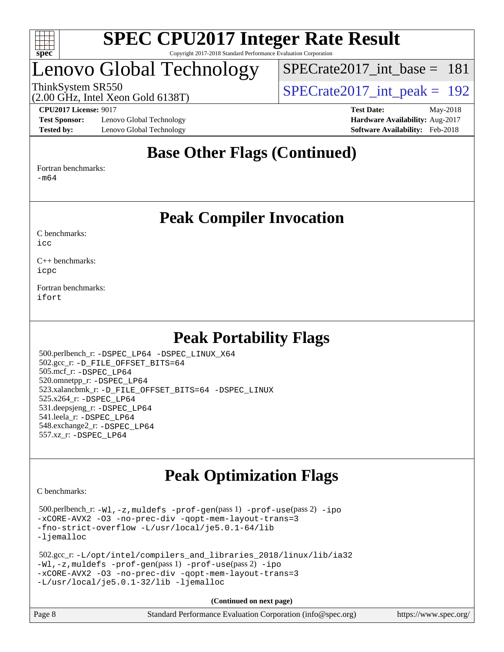

## Lenovo Global Technology

[SPECrate2017\\_int\\_base =](http://www.spec.org/auto/cpu2017/Docs/result-fields.html#SPECrate2017intbase) 181

(2.00 GHz, Intel Xeon Gold 6138T)

ThinkSystem SR550<br>  $\angle Q$  00 GHz, Intel Year Gold 6138T)<br>  $\angle$  [SPECrate2017\\_int\\_peak =](http://www.spec.org/auto/cpu2017/Docs/result-fields.html#SPECrate2017intpeak) 192

**[Test Sponsor:](http://www.spec.org/auto/cpu2017/Docs/result-fields.html#TestSponsor)** Lenovo Global Technology **[Hardware Availability:](http://www.spec.org/auto/cpu2017/Docs/result-fields.html#HardwareAvailability)** Aug-2017 **[Tested by:](http://www.spec.org/auto/cpu2017/Docs/result-fields.html#Testedby)** Lenovo Global Technology **[Software Availability:](http://www.spec.org/auto/cpu2017/Docs/result-fields.html#SoftwareAvailability)** Feb-2018

**[CPU2017 License:](http://www.spec.org/auto/cpu2017/Docs/result-fields.html#CPU2017License)** 9017 **[Test Date:](http://www.spec.org/auto/cpu2017/Docs/result-fields.html#TestDate)** May-2018

### **[Base Other Flags \(Continued\)](http://www.spec.org/auto/cpu2017/Docs/result-fields.html#BaseOtherFlags)**

[Fortran benchmarks](http://www.spec.org/auto/cpu2017/Docs/result-fields.html#Fortranbenchmarks):

[-m64](http://www.spec.org/cpu2017/results/res2018q2/cpu2017-20180529-06163.flags.html#user_FCbase_intel_intel64_18.0_af43caccfc8ded86e7699f2159af6efc7655f51387b94da716254467f3c01020a5059329e2569e4053f409e7c9202a7efc638f7a6d1ffb3f52dea4a3e31d82ab)

### **[Peak Compiler Invocation](http://www.spec.org/auto/cpu2017/Docs/result-fields.html#PeakCompilerInvocation)**

[C benchmarks](http://www.spec.org/auto/cpu2017/Docs/result-fields.html#Cbenchmarks):  $i$ cc

[C++ benchmarks:](http://www.spec.org/auto/cpu2017/Docs/result-fields.html#CXXbenchmarks) [icpc](http://www.spec.org/cpu2017/results/res2018q2/cpu2017-20180529-06163.flags.html#user_CXXpeak_intel_icpc_18.0_c510b6838c7f56d33e37e94d029a35b4a7bccf4766a728ee175e80a419847e808290a9b78be685c44ab727ea267ec2f070ec5dc83b407c0218cded6866a35d07)

[Fortran benchmarks](http://www.spec.org/auto/cpu2017/Docs/result-fields.html#Fortranbenchmarks): [ifort](http://www.spec.org/cpu2017/results/res2018q2/cpu2017-20180529-06163.flags.html#user_FCpeak_intel_ifort_18.0_8111460550e3ca792625aed983ce982f94888b8b503583aa7ba2b8303487b4d8a21a13e7191a45c5fd58ff318f48f9492884d4413fa793fd88dd292cad7027ca)

## **[Peak Portability Flags](http://www.spec.org/auto/cpu2017/Docs/result-fields.html#PeakPortabilityFlags)**

 500.perlbench\_r: [-DSPEC\\_LP64](http://www.spec.org/cpu2017/results/res2018q2/cpu2017-20180529-06163.flags.html#b500.perlbench_r_peakPORTABILITY_DSPEC_LP64) [-DSPEC\\_LINUX\\_X64](http://www.spec.org/cpu2017/results/res2018q2/cpu2017-20180529-06163.flags.html#b500.perlbench_r_peakCPORTABILITY_DSPEC_LINUX_X64) 502.gcc\_r: [-D\\_FILE\\_OFFSET\\_BITS=64](http://www.spec.org/cpu2017/results/res2018q2/cpu2017-20180529-06163.flags.html#user_peakPORTABILITY502_gcc_r_file_offset_bits_64_5ae949a99b284ddf4e95728d47cb0843d81b2eb0e18bdfe74bbf0f61d0b064f4bda2f10ea5eb90e1dcab0e84dbc592acfc5018bc955c18609f94ddb8d550002c) 505.mcf\_r: [-DSPEC\\_LP64](http://www.spec.org/cpu2017/results/res2018q2/cpu2017-20180529-06163.flags.html#suite_peakPORTABILITY505_mcf_r_DSPEC_LP64) 520.omnetpp\_r: [-DSPEC\\_LP64](http://www.spec.org/cpu2017/results/res2018q2/cpu2017-20180529-06163.flags.html#suite_peakPORTABILITY520_omnetpp_r_DSPEC_LP64) 523.xalancbmk\_r: [-D\\_FILE\\_OFFSET\\_BITS=64](http://www.spec.org/cpu2017/results/res2018q2/cpu2017-20180529-06163.flags.html#user_peakPORTABILITY523_xalancbmk_r_file_offset_bits_64_5ae949a99b284ddf4e95728d47cb0843d81b2eb0e18bdfe74bbf0f61d0b064f4bda2f10ea5eb90e1dcab0e84dbc592acfc5018bc955c18609f94ddb8d550002c) [-DSPEC\\_LINUX](http://www.spec.org/cpu2017/results/res2018q2/cpu2017-20180529-06163.flags.html#b523.xalancbmk_r_peakCXXPORTABILITY_DSPEC_LINUX) 525.x264\_r: [-DSPEC\\_LP64](http://www.spec.org/cpu2017/results/res2018q2/cpu2017-20180529-06163.flags.html#suite_peakPORTABILITY525_x264_r_DSPEC_LP64) 531.deepsjeng\_r: [-DSPEC\\_LP64](http://www.spec.org/cpu2017/results/res2018q2/cpu2017-20180529-06163.flags.html#suite_peakPORTABILITY531_deepsjeng_r_DSPEC_LP64) 541.leela\_r: [-DSPEC\\_LP64](http://www.spec.org/cpu2017/results/res2018q2/cpu2017-20180529-06163.flags.html#suite_peakPORTABILITY541_leela_r_DSPEC_LP64) 548.exchange2\_r: [-DSPEC\\_LP64](http://www.spec.org/cpu2017/results/res2018q2/cpu2017-20180529-06163.flags.html#suite_peakPORTABILITY548_exchange2_r_DSPEC_LP64) 557.xz\_r: [-DSPEC\\_LP64](http://www.spec.org/cpu2017/results/res2018q2/cpu2017-20180529-06163.flags.html#suite_peakPORTABILITY557_xz_r_DSPEC_LP64)

## **[Peak Optimization Flags](http://www.spec.org/auto/cpu2017/Docs/result-fields.html#PeakOptimizationFlags)**

[C benchmarks](http://www.spec.org/auto/cpu2017/Docs/result-fields.html#Cbenchmarks):

 500.perlbench\_r: [-Wl,-z,muldefs](http://www.spec.org/cpu2017/results/res2018q2/cpu2017-20180529-06163.flags.html#user_peakEXTRA_LDFLAGS500_perlbench_r_link_force_multiple1_b4cbdb97b34bdee9ceefcfe54f4c8ea74255f0b02a4b23e853cdb0e18eb4525ac79b5a88067c842dd0ee6996c24547a27a4b99331201badda8798ef8a743f577) [-prof-gen](http://www.spec.org/cpu2017/results/res2018q2/cpu2017-20180529-06163.flags.html#user_peakPASS1_CFLAGSPASS1_LDFLAGS500_perlbench_r_prof_gen_5aa4926d6013ddb2a31985c654b3eb18169fc0c6952a63635c234f711e6e63dd76e94ad52365559451ec499a2cdb89e4dc58ba4c67ef54ca681ffbe1461d6b36)(pass 1) [-prof-use](http://www.spec.org/cpu2017/results/res2018q2/cpu2017-20180529-06163.flags.html#user_peakPASS2_CFLAGSPASS2_LDFLAGS500_perlbench_r_prof_use_1a21ceae95f36a2b53c25747139a6c16ca95bd9def2a207b4f0849963b97e94f5260e30a0c64f4bb623698870e679ca08317ef8150905d41bd88c6f78df73f19)(pass 2) [-ipo](http://www.spec.org/cpu2017/results/res2018q2/cpu2017-20180529-06163.flags.html#user_peakPASS1_COPTIMIZEPASS2_COPTIMIZE500_perlbench_r_f-ipo) [-xCORE-AVX2](http://www.spec.org/cpu2017/results/res2018q2/cpu2017-20180529-06163.flags.html#user_peakPASS2_COPTIMIZE500_perlbench_r_f-xCORE-AVX2) [-O3](http://www.spec.org/cpu2017/results/res2018q2/cpu2017-20180529-06163.flags.html#user_peakPASS1_COPTIMIZEPASS2_COPTIMIZE500_perlbench_r_f-O3) [-no-prec-div](http://www.spec.org/cpu2017/results/res2018q2/cpu2017-20180529-06163.flags.html#user_peakPASS1_COPTIMIZEPASS2_COPTIMIZE500_perlbench_r_f-no-prec-div) [-qopt-mem-layout-trans=3](http://www.spec.org/cpu2017/results/res2018q2/cpu2017-20180529-06163.flags.html#user_peakPASS1_COPTIMIZEPASS2_COPTIMIZE500_perlbench_r_f-qopt-mem-layout-trans_de80db37974c74b1f0e20d883f0b675c88c3b01e9d123adea9b28688d64333345fb62bc4a798493513fdb68f60282f9a726aa07f478b2f7113531aecce732043) [-fno-strict-overflow](http://www.spec.org/cpu2017/results/res2018q2/cpu2017-20180529-06163.flags.html#user_peakEXTRA_OPTIMIZE500_perlbench_r_f-fno-strict-overflow) [-L/usr/local/je5.0.1-64/lib](http://www.spec.org/cpu2017/results/res2018q2/cpu2017-20180529-06163.flags.html#user_peakEXTRA_LIBS500_perlbench_r_jemalloc_link_path64_4b10a636b7bce113509b17f3bd0d6226c5fb2346b9178c2d0232c14f04ab830f976640479e5c33dc2bcbbdad86ecfb6634cbbd4418746f06f368b512fced5394) [-ljemalloc](http://www.spec.org/cpu2017/results/res2018q2/cpu2017-20180529-06163.flags.html#user_peakEXTRA_LIBS500_perlbench_r_jemalloc_link_lib_d1249b907c500fa1c0672f44f562e3d0f79738ae9e3c4a9c376d49f265a04b9c99b167ecedbf6711b3085be911c67ff61f150a17b3472be731631ba4d0471706)

```
 502.gcc_r: -L/opt/intel/compilers_and_libraries_2018/linux/lib/ia32
-Wl,-z,muldefs -prof-gen(pass 1) -prof-use(pass 2) -ipo
-xCORE-AVX2 -O3 -no-prec-div -qopt-mem-layout-trans=3
-L/usr/local/je5.0.1-32/lib -ljemalloc
```
**(Continued on next page)**

| Page 8 | Standard Performance Evaluation Corporation (info@spec.org) | https://www.spec.org/ |
|--------|-------------------------------------------------------------|-----------------------|
|--------|-------------------------------------------------------------|-----------------------|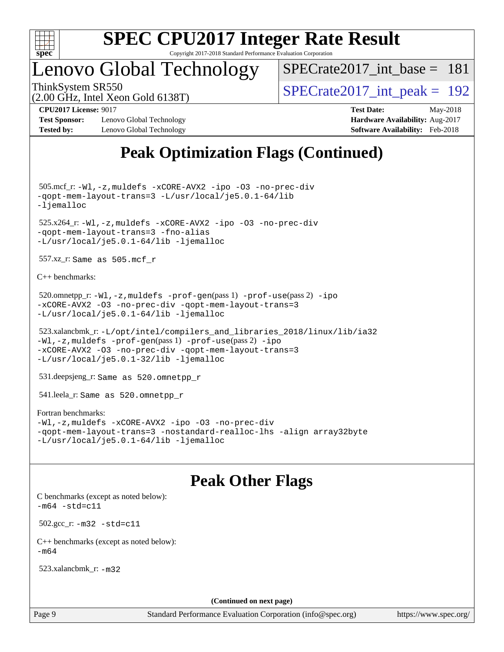

## Lenovo Global Technology

[SPECrate2017\\_int\\_base =](http://www.spec.org/auto/cpu2017/Docs/result-fields.html#SPECrate2017intbase) 181

(2.00 GHz, Intel Xeon Gold 6138T)

ThinkSystem SR550<br>  $(2.00 \text{ GHz. Intel Yes} \cdot \text{Gold } 6138 \text{ T})$   $\text{SPECrate} 2017\_int\_peak = 192$ 

**[Test Sponsor:](http://www.spec.org/auto/cpu2017/Docs/result-fields.html#TestSponsor)** Lenovo Global Technology **[Hardware Availability:](http://www.spec.org/auto/cpu2017/Docs/result-fields.html#HardwareAvailability)** Aug-2017 **[Tested by:](http://www.spec.org/auto/cpu2017/Docs/result-fields.html#Testedby)** Lenovo Global Technology **[Software Availability:](http://www.spec.org/auto/cpu2017/Docs/result-fields.html#SoftwareAvailability)** Feb-2018

**[CPU2017 License:](http://www.spec.org/auto/cpu2017/Docs/result-fields.html#CPU2017License)** 9017 **[Test Date:](http://www.spec.org/auto/cpu2017/Docs/result-fields.html#TestDate)** May-2018

## **[Peak Optimization Flags \(Continued\)](http://www.spec.org/auto/cpu2017/Docs/result-fields.html#PeakOptimizationFlags)**

 505.mcf\_r: [-Wl,-z,muldefs](http://www.spec.org/cpu2017/results/res2018q2/cpu2017-20180529-06163.flags.html#user_peakEXTRA_LDFLAGS505_mcf_r_link_force_multiple1_b4cbdb97b34bdee9ceefcfe54f4c8ea74255f0b02a4b23e853cdb0e18eb4525ac79b5a88067c842dd0ee6996c24547a27a4b99331201badda8798ef8a743f577) [-xCORE-AVX2](http://www.spec.org/cpu2017/results/res2018q2/cpu2017-20180529-06163.flags.html#user_peakCOPTIMIZE505_mcf_r_f-xCORE-AVX2) [-ipo](http://www.spec.org/cpu2017/results/res2018q2/cpu2017-20180529-06163.flags.html#user_peakCOPTIMIZE505_mcf_r_f-ipo) [-O3](http://www.spec.org/cpu2017/results/res2018q2/cpu2017-20180529-06163.flags.html#user_peakCOPTIMIZE505_mcf_r_f-O3) [-no-prec-div](http://www.spec.org/cpu2017/results/res2018q2/cpu2017-20180529-06163.flags.html#user_peakCOPTIMIZE505_mcf_r_f-no-prec-div) [-qopt-mem-layout-trans=3](http://www.spec.org/cpu2017/results/res2018q2/cpu2017-20180529-06163.flags.html#user_peakCOPTIMIZE505_mcf_r_f-qopt-mem-layout-trans_de80db37974c74b1f0e20d883f0b675c88c3b01e9d123adea9b28688d64333345fb62bc4a798493513fdb68f60282f9a726aa07f478b2f7113531aecce732043) [-L/usr/local/je5.0.1-64/lib](http://www.spec.org/cpu2017/results/res2018q2/cpu2017-20180529-06163.flags.html#user_peakEXTRA_LIBS505_mcf_r_jemalloc_link_path64_4b10a636b7bce113509b17f3bd0d6226c5fb2346b9178c2d0232c14f04ab830f976640479e5c33dc2bcbbdad86ecfb6634cbbd4418746f06f368b512fced5394) [-ljemalloc](http://www.spec.org/cpu2017/results/res2018q2/cpu2017-20180529-06163.flags.html#user_peakEXTRA_LIBS505_mcf_r_jemalloc_link_lib_d1249b907c500fa1c0672f44f562e3d0f79738ae9e3c4a9c376d49f265a04b9c99b167ecedbf6711b3085be911c67ff61f150a17b3472be731631ba4d0471706)

 525.x264\_r: [-Wl,-z,muldefs](http://www.spec.org/cpu2017/results/res2018q2/cpu2017-20180529-06163.flags.html#user_peakEXTRA_LDFLAGS525_x264_r_link_force_multiple1_b4cbdb97b34bdee9ceefcfe54f4c8ea74255f0b02a4b23e853cdb0e18eb4525ac79b5a88067c842dd0ee6996c24547a27a4b99331201badda8798ef8a743f577) [-xCORE-AVX2](http://www.spec.org/cpu2017/results/res2018q2/cpu2017-20180529-06163.flags.html#user_peakCOPTIMIZE525_x264_r_f-xCORE-AVX2) [-ipo](http://www.spec.org/cpu2017/results/res2018q2/cpu2017-20180529-06163.flags.html#user_peakCOPTIMIZE525_x264_r_f-ipo) [-O3](http://www.spec.org/cpu2017/results/res2018q2/cpu2017-20180529-06163.flags.html#user_peakCOPTIMIZE525_x264_r_f-O3) [-no-prec-div](http://www.spec.org/cpu2017/results/res2018q2/cpu2017-20180529-06163.flags.html#user_peakCOPTIMIZE525_x264_r_f-no-prec-div) [-qopt-mem-layout-trans=3](http://www.spec.org/cpu2017/results/res2018q2/cpu2017-20180529-06163.flags.html#user_peakCOPTIMIZE525_x264_r_f-qopt-mem-layout-trans_de80db37974c74b1f0e20d883f0b675c88c3b01e9d123adea9b28688d64333345fb62bc4a798493513fdb68f60282f9a726aa07f478b2f7113531aecce732043) [-fno-alias](http://www.spec.org/cpu2017/results/res2018q2/cpu2017-20180529-06163.flags.html#user_peakEXTRA_OPTIMIZE525_x264_r_f-no-alias_77dbac10d91cbfe898fbf4a29d1b29b694089caa623bdd1baccc9957d4edbe8d106c0b357e2748a65b44fc9e83d78098bb898077f3fe92f9faf24f7bd4a07ed7) [-L/usr/local/je5.0.1-64/lib](http://www.spec.org/cpu2017/results/res2018q2/cpu2017-20180529-06163.flags.html#user_peakEXTRA_LIBS525_x264_r_jemalloc_link_path64_4b10a636b7bce113509b17f3bd0d6226c5fb2346b9178c2d0232c14f04ab830f976640479e5c33dc2bcbbdad86ecfb6634cbbd4418746f06f368b512fced5394) [-ljemalloc](http://www.spec.org/cpu2017/results/res2018q2/cpu2017-20180529-06163.flags.html#user_peakEXTRA_LIBS525_x264_r_jemalloc_link_lib_d1249b907c500fa1c0672f44f562e3d0f79738ae9e3c4a9c376d49f265a04b9c99b167ecedbf6711b3085be911c67ff61f150a17b3472be731631ba4d0471706)

557.xz\_r: Same as 505.mcf\_r

[C++ benchmarks:](http://www.spec.org/auto/cpu2017/Docs/result-fields.html#CXXbenchmarks)

```
520.omnetpp_r:-Wl-prof-use-ipo
-xCORE-AVX2 -O3 -no-prec-div -qopt-mem-layout-trans=3
-L/usr/local/je5.0.1-64/lib -ljemalloc
```

```
 523.xalancbmk_r: -L/opt/intel/compilers_and_libraries_2018/linux/lib/ia32
-Wl,-z,muldefs -prof-gen(pass 1) -prof-use(pass 2) -ipo
-xCORE-AVX2 -O3 -no-prec-div -qopt-mem-layout-trans=3
-L/usr/local/je5.0.1-32/lib -ljemalloc
```
531.deepsjeng\_r: Same as 520.omnetpp\_r

541.leela\_r: Same as 520.omnetpp\_r

#### [Fortran benchmarks](http://www.spec.org/auto/cpu2017/Docs/result-fields.html#Fortranbenchmarks):

```
-Wl,-z,muldefs -xCORE-AVX2 -ipo -O3 -no-prec-div
-qopt-mem-layout-trans=3 -nostandard-realloc-lhs -align array32byte
-L/usr/local/je5.0.1-64/lib -ljemalloc
```
## **[Peak Other Flags](http://www.spec.org/auto/cpu2017/Docs/result-fields.html#PeakOtherFlags)**

[C benchmarks \(except as noted below\)](http://www.spec.org/auto/cpu2017/Docs/result-fields.html#Cbenchmarksexceptasnotedbelow):  $-m64 - std= c11$  $-m64 - std= c11$  502.gcc\_r: [-m32](http://www.spec.org/cpu2017/results/res2018q2/cpu2017-20180529-06163.flags.html#user_peakCCLD502_gcc_r_intel_ia32_18.0_2666f1173eb60787016b673bfe1358e27016ef7649ea4884b7bc6187fd89dc221d14632e22638cde1c647a518de97358ab15d4ad098ee4e19a8b28d0c25e14bf) [-std=c11](http://www.spec.org/cpu2017/results/res2018q2/cpu2017-20180529-06163.flags.html#user_peakCCLD502_gcc_r_intel_compiler_c11_mode_0e1c27790398a4642dfca32ffe6c27b5796f9c2d2676156f2e42c9c44eaad0c049b1cdb667a270c34d979996257aeb8fc440bfb01818dbc9357bd9d174cb8524) [C++ benchmarks \(except as noted below\):](http://www.spec.org/auto/cpu2017/Docs/result-fields.html#CXXbenchmarksexceptasnotedbelow)  $-m64$ 

523.xalancbmk\_r: [-m32](http://www.spec.org/cpu2017/results/res2018q2/cpu2017-20180529-06163.flags.html#user_peakCXXLD523_xalancbmk_r_intel_ia32_18.0_2666f1173eb60787016b673bfe1358e27016ef7649ea4884b7bc6187fd89dc221d14632e22638cde1c647a518de97358ab15d4ad098ee4e19a8b28d0c25e14bf)

**(Continued on next page)**